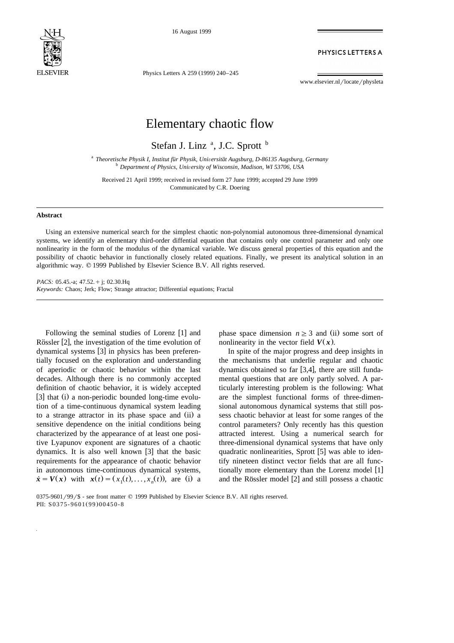

16 August 1999

PHYSICS LETTERS A

Physics Letters A 259 (1999) 240-245

www.elsevier.nl/locate/physleta

## Elementary chaotic flow

Stefan J. Linz<sup>a</sup>, J.C. Sprott<sup>b</sup>

<sup>a</sup> *Theoretische Physik I, Institut für Physik, Universität Augsburg, D-86135 Augsburg, Germany* <sup>b</sup> *Department of Physics, University of Wisconsin, Madison, WI 53706, USA* 

Received 21 April 1999; received in revised form 27 June 1999; accepted 29 June 1999 Communicated by C.R. Doering

## **Abstract**

Using an extensive numerical search for the simplest chaotic non-polynomial autonomous three-dimensional dynamical systems, we identify an elementary third-order diffential equation that contains only one control parameter and only one nonlinearity in the form of the modulus of the dynamical variable. We discuss general properties of this equation and the possibility of chaotic behavior in functionally closely related equations. Finally, we present its analytical solution in an algorithmic way.  $© 1999$  Published by Elsevier Science B.V. All rights reserved.

*PACS:* 05.45.-a; 47.52. + j; 02.30.Hq *Keywords:* Chaos; Jerk; Flow; Strange attractor; Differential equations; Fractal

Following the seminal studies of Lorenz [1] and Rössler  $[2]$ , the investigation of the time evolution of dynamical systems [3] in physics has been preferentially focused on the exploration and understanding of aperiodic or chaotic behavior within the last decades. Although there is no commonly accepted definition of chaotic behavior, it is widely accepted [3] that (i) a non-periodic bounded long-time evolution of a time-continuous dynamical system leading to a strange attractor in its phase space and (ii) a sensitive dependence on the initial conditions being characterized by the appearance of at least one positive Lyapunov exponent are signatures of a chaotic dynamics. It is also well known  $[3]$  that the basic requirements for the appearance of chaotic behavior in autonomous time-continuous dynamical systems,  $\dot{x} = V(x)$  with  $x(t) = (x_1(t), \ldots, x_n(t))$ , are (i) a phase space dimension  $n \geq 3$  and (ii) some sort of nonlinearity in the vector field  $V(x)$ .

In spite of the major progress and deep insights in the mechanisms that underlie regular and chaotic dynamics obtained so far  $[3,4]$ , there are still fundamental questions that are only partly solved. A particularly interesting problem is the following: What are the simplest functional forms of three-dimensional autonomous dynamical systems that still possess chaotic behavior at least for some ranges of the control parameters? Only recently has this question attracted interest. Using a numerical search for three-dimensional dynamical systems that have only quadratic nonlinearities, Sprott  $[5]$  was able to identify nineteen distinct vector fields that are all functionally more elementary than the Lorenz model [1] and the Rössler model  $[2]$  and still possess a chaotic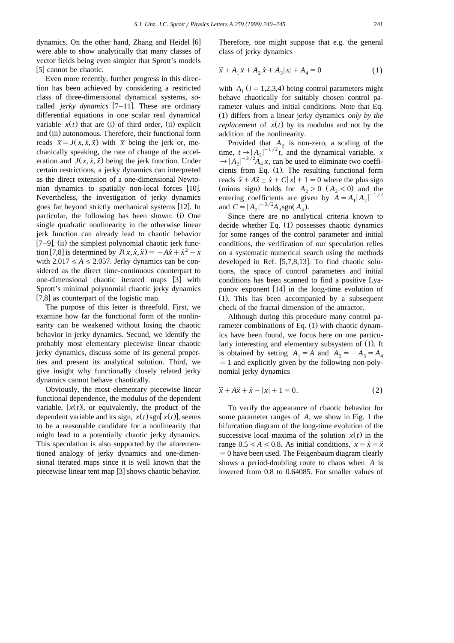dynamics. On the other hand, Zhang and Heidel [6] were able to show analytically that many classes of vector fields being even simpler that Sprott's models  $[5]$  cannot be chaotic.

Even more recently, further progress in this direction has been achieved by considering a restricted class of three-dimensional dynamical systems, socalled *jerky dynamics*  $[7-11]$ . These are ordinary differential equations in one scalar real dynamical variable  $x(t)$  that are (i) of third order, (ii) explicit and (iii) autonomous. Therefore, their functional form reads  $\ddot{x} = J(x, \dot{x}, \ddot{x})$  with  $\dddot{x}$  being the jerk or, mechanically speaking, the rate of change of the acceleration and  $J(x, \dot{x}, \ddot{x})$  being the jerk function. Under certain restrictions, a jerky dynamics can interpreted as the direct extension of a one-dimensional Newtonian dynamics to spatially non-local forces [10]. Nevertheless, the investigation of jerky dynamics goes far beyond strictly mechanical systems [12]. In particular, the following has been shown: (i) One single quadratic nonlinearity in the otherwise linear jerk function can already lead to chaotic behavior  $\left[7-9\right]$ , (ii) the simplest polynomial chaotic jerk func- $\overline{I}$  is determined by  $\overline{J}(x, \dot{x}, \ddot{x}) = -A\dot{x} + \dot{x}^2 - x$ with  $2.017 \leq A \leq 2.057$ . Jerky dynamics can be considered as the direct time-continuous counterpart to one-dimensional chaotic iterated maps [3] with Sprott's minimal polynomial chaotic jerky dynamics  $\left[7,8\right]$  as counterpart of the logistic map.

The purpose of this letter is threefold. First, we examine how far the functional form of the nonlinearity can be weakened without losing the chaotic behavior in jerky dynamics. Second, we identify the probably most elementary piecewise linear chaotic jerky dynamics, discuss some of its general properties and present its analytical solution. Third, we give insight why functionally closely related jerky dynamics cannot behave chaotically.

Obviously, the most elementary piecewise linear functional dependence, the modulus of the dependent variable,  $|x(t)|$ , or equivalently, the product of the dependent variable and its sign,  $x(t)$  sgn[ $x(t)$ ], seems to be a reasonable candidate for a nonlinearity that might lead to a potentially chaotic jerky dynamics. This speculation is also supported by the aforementioned analogy of jerky dynamics and one-dimensional iterated maps since it is well known that the piecewise linear tent map  $[3]$  shows chaotic behavior.

Therefore, one might suppose that e.g. the general class of jerky dynamics

$$
\ddot{x} + A_1 \dot{x} + A_2 \dot{x} + A_3 |x| + A_4 = 0 \tag{1}
$$

with  $A_i$  ( $i = 1,2,3,4$ ) being control parameters might behave chaotically for suitably chosen control parameter values and initial conditions. Note that Eq. Ž . 1 differs from a linear jerky dynamics *only by the replacement* of  $x(t)$  by its modulus and not by the addition of the nonlinearity.

Provided that  $A_2$  is non-zero, a scaling of the time,  $t \rightarrow |A_2|^{-1/2}t$ , and the dynamical variable, *x*  $\rightarrow |A_2|^{-3/2}A_4 x$ , can be used to eliminate two coefficients from Eq. (1). The resulting functional form reads  $\ddot{x} + A\ddot{x} + \dot{x} + C|x| + 1 = 0$  where the plus sign (minus sign) holds for  $A_2 > 0$  ( $A_2 < 0$ ) and the entering coefficients are given by  $A = A_1 |A_2|^{-1/2}$ and  $C = |A_2|^{-3/2} A_3$  sgn( $A_4$ ).

Since there are no analytical criteria known to decide whether Eq.  $(1)$  possesses chaotic dynamics for some ranges of the control parameter and initial conditions, the verification of our speculation relies on a systematic numerical search using the methods developed in Ref.  $[5,7,8,13]$ . To find chaotic solutions, the space of control parameters and initial conditions has been scanned to find a positive Lyapunov exponent  $[14]$  in the long-time evolution of  $(1)$ . This has been accompanied by a subsequent check of the fractal dimension of the attractor.

Although during this procedure many control parameter combinations of Eq.  $(1)$  with chaotic dynamics have been found, we focus here on one particularly interesting and elementary subsystem of (1). It is obtained by setting  $A_1 = A$  and  $A_2 = -A_3 = A_4$  $=$  1 and explicitly given by the following non-polynomial jerky dynamics

$$
\ddot{x} + A\ddot{x} + \dot{x} - |x| + 1 = 0.
$$
 (2)

To verify the appearance of chaotic behavior for some parameter ranges of *A*, we show in Fig. 1 the bifurcation diagram of the long-time evolution of the successive local maxima of the solution  $x(t)$  in the range  $0.5 \le A \le 0.8$ . As initial conditions,  $x = \dot{x} = \ddot{x}$  $=0$  have been used. The Feigenbaum diagram clearly shows a period-doubling route to chaos when *A* is lowered from 0.8 to 0.64085. For smaller values of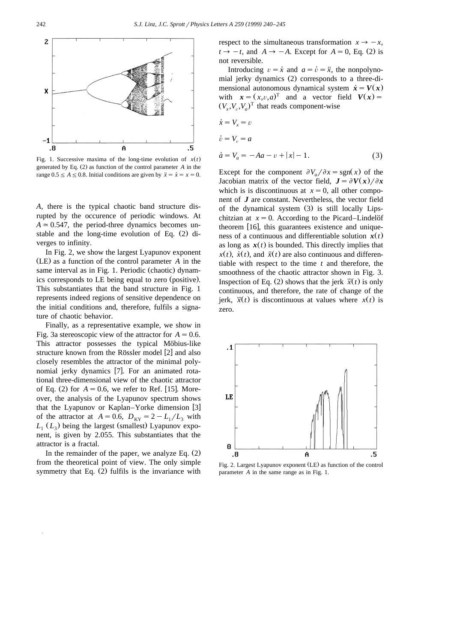

Fig. 1. Successive maxima of the long-time evolution of  $x(t)$ generated by Eq.  $(2)$  as function of the control parameter  $A$  in the range  $0.5 \le A \le 0.8$ . Initial conditions are given by  $\ddot{x} = \dot{x} = x = 0$ .

*A*, there is the typical chaotic band structure disrupted by the occurence of periodic windows. At  $A \approx 0.547$ , the period-three dynamics becomes unstable and the long-time evolution of Eq.  $(2)$  diverges to infinity.

In Fig. 2, we show the largest Lyapunov exponent (LE) as a function of the control parameter *A* in the same interval as in Fig. 1. Periodic (chaotic) dynamics corresponds to LE being equal to zero (positive). This substantiates that the band structure in Fig. 1 represents indeed regions of sensitive dependence on the initial conditions and, therefore, fulfils a signature of chaotic behavior.

Finally, as a representative example, we show in Fig. 3a stereoscopic view of the attractor for  $A = 0.6$ . This attractor possesses the typical Möbius-like structure known from the Rössler model [2] and also closely resembles the attractor of the minimal polynomial jerky dynamics [7]. For an animated rotational three-dimensional view of the chaotic attractor of Eq.  $(2)$  for  $A = 0.6$ , we refer to Ref. [15]. Moreover, the analysis of the Lyapunov spectrum shows that the Lyapunov or Kaplan–Yorke dimension [3] of the attractor at  $A = 0.6$ ,  $D_{KY} = 2 - L_1/L_3$  with  $L_1$  ( $L_3$ ) being the largest (smallest) Lyapunov exponent, is given by 2.055. This substantiates that the attractor is a fractal.

In the remainder of the paper, we analyze Eq.  $(2)$ from the theoretical point of view. The only simple symmetry that Eq.  $(2)$  fulfils is the invariance with respect to the simultaneous transformation  $x \rightarrow -x$ ,  $t \rightarrow -t$ , and  $A \rightarrow -A$ . Except for  $A = 0$ , Eq. (2) is not reversible.

Introducing  $v = \dot{x}$  and  $a = \dot{v} = \ddot{x}$ , the nonpolynomial jerky dynamics (2) corresponds to a three-dimensional autonomous dynamical system  $\dot{x} = V(x)$ with  $x = (x, v, a)^T$  and a vector field  $V(x) =$  $(V_x, V_y, V_z)^T$  that reads component-wise

$$
\begin{aligned}\n\dot{x} &= V_x = v \\
\dot{v} &= V_v = a \\
\dot{a} &= V_a = -Aa - v + |x| - 1.\n\end{aligned} \tag{3}
$$

Except for the component  $\partial V_a / \partial x = \text{sgn}(x)$  of the Jacobian matrix of the vector field,  $J = \partial V(x)/\partial x$ which is is discontinuous at  $x = 0$ , all other component of *J* are constant. Nevertheless, the vector field of the dynamical system  $(3)$  is still locally Lipschitzian at  $x = 0$ . According to the Picard–Lindelöf theorem  $[16]$ , this guarantees existence and uniqueness of a continuous and differentiable solution  $x(t)$ as long as  $x(t)$  is bounded. This directly implies that  $x(t)$ ,  $\dot{x}(t)$ , and  $\ddot{x}(t)$  are also continuous and differentiable with respect to the time *t* and therefore, the smoothness of the chaotic attractor shown in Fig. 3. Inspection of Eq. (2) shows that the jerk  $\ddot{x}(t)$  is only continuous, and therefore, the rate of change of the jerk,  $\ddot{x}(t)$  is discontinuous at values where  $x(t)$  is zero.



Fig. 2. Largest Lyapunov exponent (LE) as function of the control parameter *A* in the same range as in Fig. 1.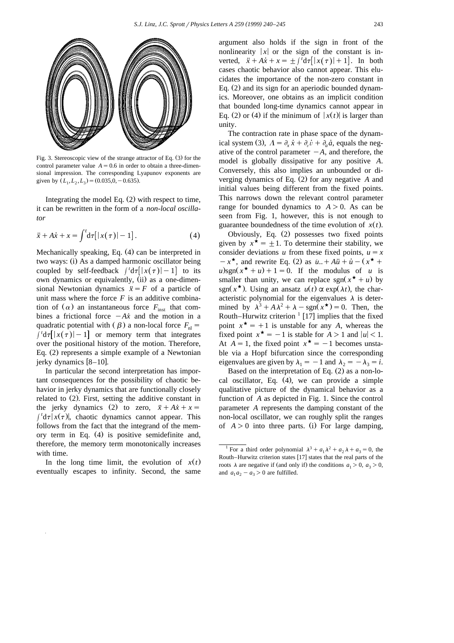

Fig. 3. Stereoscopic view of the strange attractor of Eq.  $(3)$  for the control parameter value  $A = 0.6$  in order to obtain a three-dimensional impression. The corresponding Lyapunov exponents are given by  $(L_1, L_2, L_3) = (0.035, 0, -0.635)$ .

Integrating the model Eq.  $(2)$  with respect to time, it can be rewritten in the form of a *non-local oscillator*

$$
\ddot{x} + A\dot{x} + x = \int^t d\tau [|x(\tau)| - 1]. \tag{4}
$$

Mechanically speaking, Eq.  $(4)$  can be interpreted in two ways: (i) As a damped harmonic oscillator being coupled by self-feedback  $\int d\tau |x(\tau)| - 1$  to its own dynamics or equivalently, (ii) as a one-dimensional Newtonian dynamics  $\ddot{x} = F$  of a particle of unit mass where the force  $F$  is an additive combination of  $(\alpha)$  an instantaneous force  $F_{\text{inst}}$  that combines a frictional force  $-A\dot{x}$  and the motion in a quadratic potential with  $(\beta)$  a non-local force  $F_{nl} = \int \frac{d\tau}{|x(\tau)| - 1}$  or memory term that integrates over the positional history of the motion. Therefore, Eq.  $(2)$  represents a simple example of a Newtonian jerky dynamics  $[8-10]$ .

In particular the second interpretation has important consequences for the possibility of chaotic behavior in jerky dynamics that are functionally closely related to  $(2)$ . First, setting the additive constant in the jerky dynamics (2) to zero,  $\ddot{x} + A\dot{x} + x =$   $\int d\tau |x(\tau)|$ , chaotic dynamics cannot appear. This follows from the fact that the integrand of the memory term in Eq.  $(4)$  is positive semidefinite and, therefore, the memory term monotonically increases with time.

In the long time limit, the evolution of  $x(t)$ eventually escapes to infinity. Second, the same

argument also holds if the sign in front of the nonlinearity  $|x|$  or the sign of the constant is inverted,  $\ddot{x} + A\dot{x} + x = \pm \int f d\tau |x(\tau)| + 1$ . In both cases chaotic behavior also cannot appear. This elucidates the importance of the non-zero constant in Eq.  $(2)$  and its sign for an aperiodic bounded dynamics. Moreover, one obtains as an implicit condition that bounded long-time dynamics cannot appear in Eq. (2) or (4) if the minimum of  $|x(t)|$  is larger than unity.

The contraction rate in phase space of the dynamical system (3),  $\Lambda = \partial_x \dot{x} + \partial_y \dot{v} + \partial_a \dot{a}$ , equals the negative of the control parameter  $-A$ , and therefore, the model is globally dissipative for any positive *A*. Conversely, this also implies an unbounded or diverging dynamics of Eq. (2) for any negative A and initial values being different from the fixed points. This narrows down the relevant control parameter range for bounded dynamics to  $A > 0$ . As can be seen from Fig. 1, however, this is not enough to guarantee boundedness of the time evolution of  $x(t)$ .

Obviously, Eq. (2) possesses two fixed points given by  $x^* = \pm 1$ . To determine their stability, we consider deviations *u* from these fixed points,  $u = x$  $-x^*$ , and rewrite Eq. (2) as  $\dot{u}$ ...+  $A\ddot{u} + \dot{u} - (x^* + \dot{u})$  $u$ )sgn( $x^* + u$ ) + 1 = 0. If the modulus of *u* is smaller than unity, we can replace sgn( $x^* + u$ ) by sgn( $x^{\star}$ ). Using an ansatz  $u(t) \propto \exp(\lambda t)$ , the characteristic polynomial for the eigenvalues  $\lambda$  is determined by  $\lambda^3 + A\lambda^2 + \lambda - \text{sgn}(x^{\star}) = 0$ . Then, the Routh–Hurwitz criterion  $\frac{1}{17}$  implies that the fixed point  $x^* = +1$  is unstable for any *A*, whereas the fixed point  $x^* = -1$  is stable for  $A > 1$  and  $|u| < 1$ . At  $A = 1$ , the fixed point  $x^* = -1$  becomes unstable via a Hopf bifurcation since the corresponding eigenvalues are given by  $\lambda_1 = -1$  and  $\lambda_2 = -\lambda_3 = i$ .

Based on the interpretation of Eq.  $(2)$  as a non-local oscillator, Eq.  $(4)$ , we can provide a simple qualitative picture of the dynamical behavior as a function of *A* as depicted in Fig. 1. Since the control parameter *A* represents the damping constant of the non-local oscillator, we can roughly split the ranges of  $A > 0$  into three parts. (i) For large damping,

<sup>&</sup>lt;sup>1</sup> For a third order polynomial  $\lambda^3 + a_1 \lambda^2 + a_2 \lambda + a_3 = 0$ , the Routh–Hurwitz criterion states [17] states that the real parts of the roots  $\lambda$  are negative if (and only if) the conditions  $a_1 > 0$ ,  $a_3 > 0$ , and  $a_1 a_2 - a_3 > 0$  are fulfilled.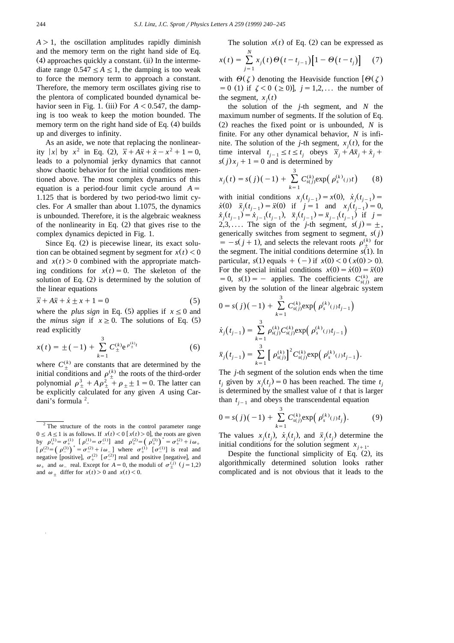$A > 1$ , the oscillation amplitudes rapidly diminish and the memory term on the right hand side of Eq.  $(4)$  approaches quickly a constant. (ii) In the intermediate range  $0.547 \leq A \leq 1$ , the damping is too weak to force the memory term to approach a constant. Therefore, the memory term oscillates giving rise to the plentora of complicated bounded dynamical behavior seen in Fig. 1. (iii) For  $A < 0.547$ , the damping is too weak to keep the motion bounded. The memory term on the right hand side of Eq.  $(4)$  builds up and diverges to infinity.

As an aside, we note that replacing the nonlinear ity |x| by  $x^2$  in Eq. (2),  $\ddot{x} + A\ddot{x} + \dot{x} - x^2 + 1 = 0$ , leads to a polynomial jerky dynamics that cannot show chaotic behavior for the initial conditions mentioned above. The most complex dynamics of this equation is a period-four limit cycle around  $A =$ 1.125 that is bordered by two period-two limit cycles. For *A* smaller than about 1.1075, the dynamics is unbounded. Therefore, it is the algebraic weakness of the nonlinearity in Eq.  $(2)$  that gives rise to the complex dynamics depicted in Fig. 1.

Since Eq.  $(2)$  is piecewise linear, its exact solution can be obtained segment by segment for  $x(t) < 0$ and  $x(t) > 0$  combined with the appropriate matching conditions for  $x(t) = 0$ . The skeleton of the solution of Eq.  $(2)$  is determined by the solution of the linear equations<br> $\dddot{x} + 4\dddot{x} + \dot{y} + x + 1$ 

$$
\ddot{x} + A\ddot{x} + \dot{x} \pm x + 1 = 0 \tag{5}
$$

where the *plus sign* in Eq. (5) applies if  $x \le 0$  and the *minus sign* if  $x \ge 0$ . The solutions of Eq. (5) read explicitly

$$
x(t) = \pm (-1) + \sum_{k=1}^{3} C_{\pm}^{(k)} e^{\rho_{\pm}^{(k)}t}
$$
 (6)

where  $C^{(k)}_+$  are constants that are determined by the initial conditions and  $\rho_{+}^{(k)}$  the roots of the third-order polynomial  $\rho_+^3 + A \rho_+^2 + \rho_+ \pm 1 = 0$ . The latter can be explicitly calculated for any given *A* using Cardani's formula<sup>2</sup>.

The solution  $x(t)$  of Eq. (2) can be expressed as

$$
x(t) = \sum_{j=1}^{N} x_j(t) \Theta(t - t_{j-1}) [1 - \Theta(t - t_j)] \tag{7}
$$

with  $\Theta(\zeta)$  denoting the Heaviside function  $\Theta(\zeta)$  $s=0$  (1) if  $\zeta < 0$  ( $\geq 0$ ),  $j=1,2,...$  the number of the segment,  $x_i(t)$ 

the solution of the *j*-th segment, and *N* the maximum number of segments. If the solution of Eq.  $(2)$  reaches the fixed point or is unbounded, *N* is finite. For any other dynamical behavior, *N* is infinite. The solution of the *j*-th segment,  $x_j(t)$ , for the time interval  $t_{i-1} \le t \le t_i$  obeys  $\ddot{x}_i + A\ddot{x}_i + \dot{x}_i + C$  $s(j)x_i + 1 = 0$  and is determined by

$$
x_j(t) = s(j)(-1) + \sum_{k=1}^{3} C_{s(j)}^{(k)} \exp(\rho_s^{(k)}(t)) \qquad (8)
$$

with initial conditions  $x_j(t_{j-1}) = x(0), \dot{x}_j(t_{j-1}) =$  $\dot{x}(0)$   $\ddot{x}_i(t_{i-1}) = \ddot{x}(0)$  if  $\dot{y} = 1$  and  $x_i(t_{i-1}) = 0$ ,  $\dot{x}_j(t_{j-1}) = \dot{x}_{j-1}(t_{j-1}), \quad \ddot{x}_j(t_{j-1}) = \ddot{x}_{j-1}(t_{j-1}) \text{ if } j = j$  $2,3,...$  The sign of the *j*-th segment,  $s(j) = \pm$ , generically switches from segment to segment,  $s(j)$  $= -s(j + 1)$ , and selects the relevant roots  $\rho_{+}^{(k)}$  for the segment. The initial conditions determine  $s(1)$ . In particular,  $s(1)$  equals  $+(-)$  if  $x(0) < 0$  ( $x(0) > 0$ ). For the special initial conditions  $x(0) = \dot{x}(0) = \ddot{x}(0)$  $= 0$ ,  $s(1) = -$  applies. The coefficients  $C_{s(i)}^{(k)}$  are given by the solution of the linear algebraic system

$$
0 = s(j)(-1) + \sum_{k=1}^{3} C_{s(j)}^{(k)} \exp\left(\rho_s^{(k)}(j)t_{j-1}\right)
$$
  

$$
\dot{x}_j(t_{j-1}) = \sum_{k=1}^{3} \rho_{s(j)}^{(k)} C_{s(j)}^{(k)} \exp\left(\rho_s^{(k)}(j)t_{j-1}\right)
$$
  

$$
\ddot{x}_j(t_{j-1}) = \sum_{k=1}^{3} \left[\rho_{s(j)}^{(k)}\right]^2 C_{s(j)}^{(k)} \exp\left(\rho_s^{(k)}(j)t_{j-1}\right).
$$

The *j*-th segment of the solution ends when the time  $t_i$  given by  $x_i(t_i) = 0$  has been reached. The time  $t_i$ is determined by the smallest value of *t* that is larger than  $t_{i-1}$  and obeys the transcendental equation

$$
0 = s(j)(-1) + \sum_{k=1}^{3} C_{s(j)}^{(k)} \exp\left(\rho_s^{(k)}(t) t_j\right).
$$
 (9)

The values  $x_j(t_j)$ ,  $\dot{x}_j(t_j)$ , and  $\ddot{x}_j(t_j)$  determine the initial conditions for the solution segment  $x_{i+1}$ .

Despite the functional simplicity of Eq.  $(2)$ , its algorithmically determined solution looks rather complicated and is not obvious that it leads to the

 $2$  The structure of the roots in the control parameter range  $0 \le A \le 1$  is as follows. If  $x(t) < 0$  [ $x(t) > 0$ ], the roots are given by  $\rho_+^{(1)} = \sigma_+^{(1)}$  [ $\rho_-^{(1)} = \sigma_-^{(1)}$ ] and  $\rho_+^{(2)} = (\rho_+^{(3)})^* = \sigma_+^{(2)} + i\omega_+$  $\left[\rho^{(2)}_{-}\right] = \left(\rho^{(3)}_{-}\right)^* = \sigma^{(2)}_{-} + i\omega_{-}$  where  $\sigma^{(1)}_{+} \left[\sigma^{(1)}_{-}\right]$  is real and negative [positive],  $\sigma^{(2)}_{+}$  [ $\sigma^{(2)}_{-}$ ] real and positive [negative], and  $\omega_+$  and  $\omega_-$  real. Except for  $A = 0$ , the moduli of  $\sigma_+^{(j)}$  ( $j = 1,2$ ) and  $\omega_+$  differ for  $x(t) > 0$  and  $x(t) < 0$ .